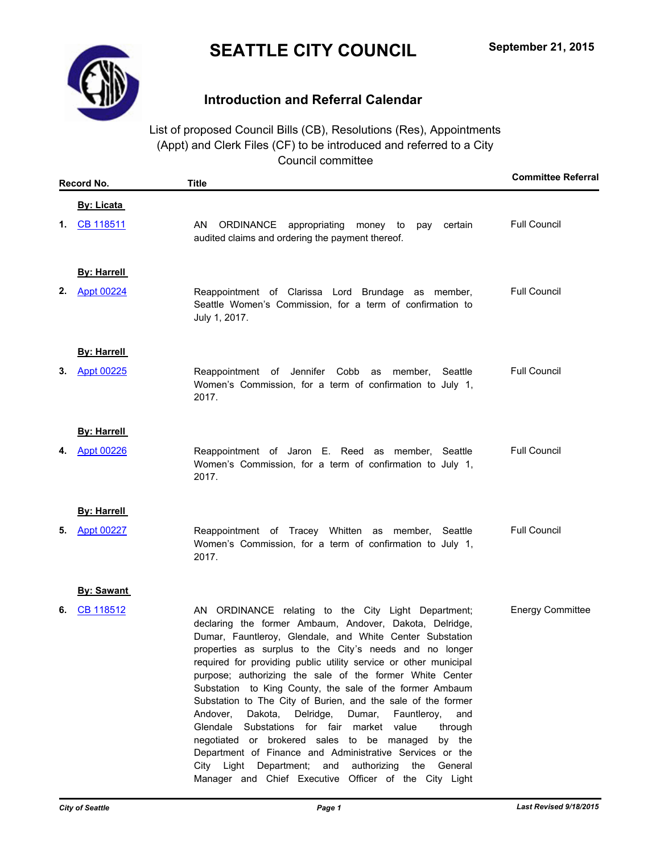# **SEATTLE CITY COUNCIL**



# **Introduction and Referral Calendar**

List of proposed Council Bills (CB), Resolutions (Res), Appointments (Appt) and Clerk Files (CF) to be introduced and referred to a City Council committee

| Record No.              | <b>Title</b>                                                                                                                                                                                                                                                                                                                                                                                                                                                                                                                                                                                                                                                                                                                                                                                                                                                                  | <b>Committee Referral</b> |
|-------------------------|-------------------------------------------------------------------------------------------------------------------------------------------------------------------------------------------------------------------------------------------------------------------------------------------------------------------------------------------------------------------------------------------------------------------------------------------------------------------------------------------------------------------------------------------------------------------------------------------------------------------------------------------------------------------------------------------------------------------------------------------------------------------------------------------------------------------------------------------------------------------------------|---------------------------|
| <b>By: Licata</b>       |                                                                                                                                                                                                                                                                                                                                                                                                                                                                                                                                                                                                                                                                                                                                                                                                                                                                               |                           |
| CB 118511<br>1.         | AN<br>ORDINANCE appropriating money to<br>pay certain<br>audited claims and ordering the payment thereof.                                                                                                                                                                                                                                                                                                                                                                                                                                                                                                                                                                                                                                                                                                                                                                     | <b>Full Council</b>       |
| <b>By: Harrell</b>      |                                                                                                                                                                                                                                                                                                                                                                                                                                                                                                                                                                                                                                                                                                                                                                                                                                                                               |                           |
| 2.<br><b>Appt 00224</b> | Reappointment of Clarissa Lord Brundage as member,<br>Seattle Women's Commission, for a term of confirmation to<br>July 1, 2017.                                                                                                                                                                                                                                                                                                                                                                                                                                                                                                                                                                                                                                                                                                                                              | <b>Full Council</b>       |
| <b>By: Harrell</b>      |                                                                                                                                                                                                                                                                                                                                                                                                                                                                                                                                                                                                                                                                                                                                                                                                                                                                               |                           |
| <b>Appt 00225</b><br>3. | Reappointment of Jennifer Cobb as member, Seattle<br>Women's Commission, for a term of confirmation to July 1,<br>2017.                                                                                                                                                                                                                                                                                                                                                                                                                                                                                                                                                                                                                                                                                                                                                       | <b>Full Council</b>       |
| <b>By: Harrell</b>      |                                                                                                                                                                                                                                                                                                                                                                                                                                                                                                                                                                                                                                                                                                                                                                                                                                                                               |                           |
| Appt 00226<br>4.        | Reappointment of Jaron E. Reed as member, Seattle<br>Women's Commission, for a term of confirmation to July 1,<br>2017.                                                                                                                                                                                                                                                                                                                                                                                                                                                                                                                                                                                                                                                                                                                                                       | <b>Full Council</b>       |
| <b>By: Harrell</b>      |                                                                                                                                                                                                                                                                                                                                                                                                                                                                                                                                                                                                                                                                                                                                                                                                                                                                               |                           |
| <b>Appt 00227</b><br>5. | Reappointment of Tracey Whitten as member, Seattle<br>Women's Commission, for a term of confirmation to July 1,<br>2017.                                                                                                                                                                                                                                                                                                                                                                                                                                                                                                                                                                                                                                                                                                                                                      | <b>Full Council</b>       |
| <b>By: Sawant</b>       |                                                                                                                                                                                                                                                                                                                                                                                                                                                                                                                                                                                                                                                                                                                                                                                                                                                                               |                           |
| CB 118512<br>6.         | AN ORDINANCE relating to the City Light Department;<br>declaring the former Ambaum, Andover, Dakota, Delridge,<br>Dumar, Fauntleroy, Glendale, and White Center Substation<br>properties as surplus to the City's needs and no longer<br>required for providing public utility service or other municipal<br>purpose; authorizing the sale of the former White Center<br>Substation to King County, the sale of the former Ambaum<br>Substation to The City of Burien, and the sale of the former<br>Andover,<br>Dakota,<br>Delridge,<br>Dumar,<br>Fauntleroy,<br>and<br>Substations for fair<br>Glendale<br>market value<br>through<br>negotiated or brokered sales to be managed<br>by the<br>Department of Finance and Administrative Services or the<br>City Light Department; and<br>authorizing the<br>General<br>Manager and Chief Executive Officer of the City Light | <b>Energy Committee</b>   |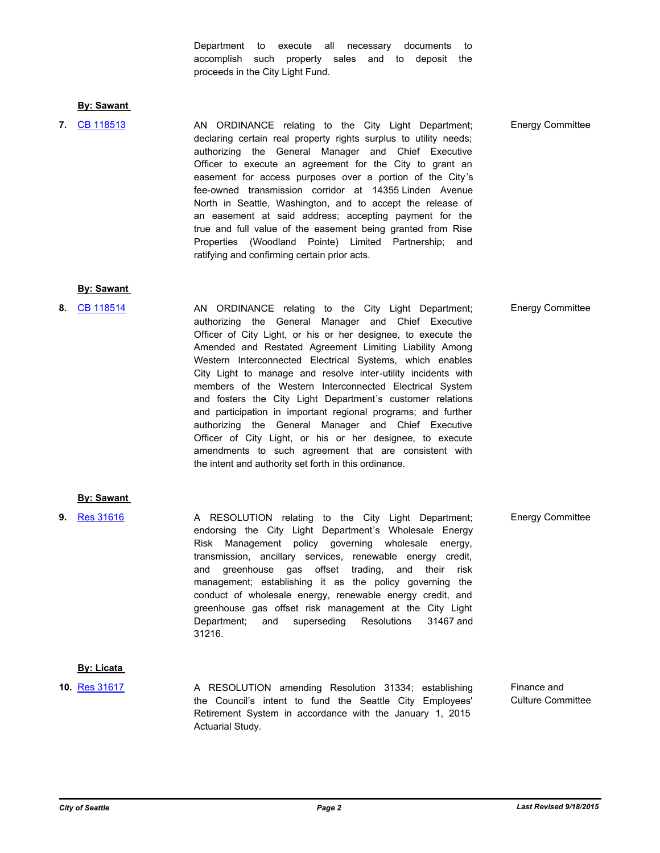Department to execute all necessary documents to accomplish such property sales and to deposit the proceeds in the City Light Fund.

#### **By: Sawant**

AN ORDINANCE relating to the City Light Department; **7.** [CB 118513](http://seattle.legistar.com/gateway.aspx?m=l&id=/matter.aspx?key=2736) Energy Committee declaring certain real property rights surplus to utility needs; authorizing the General Manager and Chief Executive Officer to execute an agreement for the City to grant an easement for access purposes over a portion of the City's fee-owned transmission corridor at 14355 Linden Avenue North in Seattle, Washington, and to accept the release of an easement at said address; accepting payment for the true and full value of the easement being granted from Rise Properties (Woodland Pointe) Limited Partnership; and ratifying and confirming certain prior acts.

#### **By: Sawant**

8. [CB 118514](http://seattle.legistar.com/gateway.aspx?m=l&id=/matter.aspx?key=2776) **AN ORDINANCE relating to the City Light Department;** Energy Committee authorizing the General Manager and Chief Executive Officer of City Light, or his or her designee, to execute the Amended and Restated Agreement Limiting Liability Among Western Interconnected Electrical Systems, which enables City Light to manage and resolve inter-utility incidents with members of the Western Interconnected Electrical System and fosters the City Light Department's customer relations and participation in important regional programs; and further authorizing the General Manager and Chief Executive Officer of City Light, or his or her designee, to execute amendments to such agreement that are consistent with the intent and authority set forth in this ordinance.

#### **By: Sawant**

**9.** [Res 31616](http://seattle.legistar.com/gateway.aspx?m=l&id=/matter.aspx?key=2775) **A RESOLUTION relating to the City Light Department; Energy Committee** endorsing the City Light Department's Wholesale Energy Risk Management policy governing wholesale energy, transmission, ancillary services, renewable energy credit, and greenhouse gas offset trading, and their risk management; establishing it as the policy governing the conduct of wholesale energy, renewable energy credit, and greenhouse gas offset risk management at the City Light Department; and superseding Resolutions 31467 and 31216.

### **By: Licata**

A RESOLUTION amending Resolution 31334; establishing the Council's intent to fund the Seattle City Employees' Retirement System in accordance with the January 1, 2015 Actuarial Study. Finance and Culture Committee **10.** [Res 31617](http://seattle.legistar.com/gateway.aspx?m=l&id=/matter.aspx?key=2839)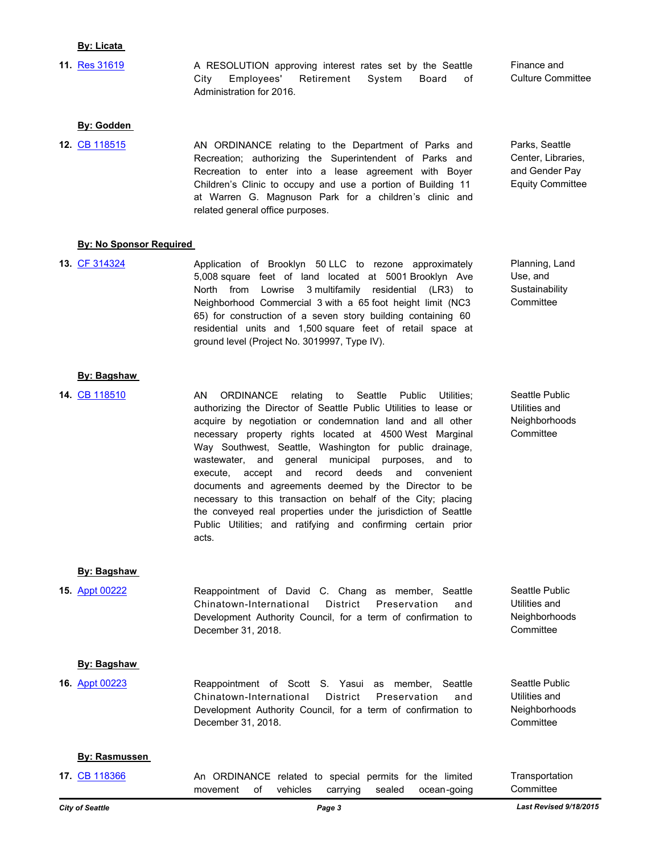#### **By: Licata**

A RESOLUTION approving interest rates set by the Seattle City Employees' Retirement System Board of Administration for 2016. **11.** [Res 31619](http://seattle.legistar.com/gateway.aspx?m=l&id=/matter.aspx?key=2838)

Finance and Culture Committee

Parks, Seattle Center, Libraries, and Gender Pay Equity Committee

#### **By: Godden**

AN ORDINANCE relating to the Department of Parks and Recreation; authorizing the Superintendent of Parks and Recreation to enter into a lease agreement with Boyer Children's Clinic to occupy and use a portion of Building 11 at Warren G. Magnuson Park for a children's clinic and related general office purposes. **12.** [CB 118515](http://seattle.legistar.com/gateway.aspx?m=l&id=/matter.aspx?key=2996)

#### **By: No Sponsor Required**

Application of Brooklyn 50 LLC to rezone approximately 5,008 square feet of land located at 5001 Brooklyn Ave North from Lowrise 3 multifamily residential (LR3) to Neighborhood Commercial 3 with a 65 foot height limit (NC3 65) for construction of a seven story building containing 60 residential units and 1,500 square feet of retail space at ground level (Project No. 3019997, Type IV). **13.** [CF 314324](http://seattle.legistar.com/gateway.aspx?m=l&id=/matter.aspx?key=2990)

## Planning, Land Use, and **Sustainability Committee**

Seattle Public Utilities and Neighborhoods **Committee** 

Seattle Public Utilities and **Neighborhoods Committee** 

Seattle Public Utilities and **Neighborhoods Committee** 

AN ORDINANCE relating to Seattle Public Utilities; authorizing the Director of Seattle Public Utilities to lease or acquire by negotiation or condemnation land and all other necessary property rights located at 4500 West Marginal Way Southwest, Seattle, Washington for public drainage, wastewater, and general municipal purposes, and to execute, accept and record deeds and convenient documents and agreements deemed by the Director to be necessary to this transaction on behalf of the City; placing the conveyed real properties under the jurisdiction of Seattle Public Utilities; and ratifying and confirming certain prior acts. **14.** [CB 118510](http://seattle.legistar.com/gateway.aspx?m=l&id=/matter.aspx?key=2882)

#### **By: Bagshaw**

**By: Bagshaw** 

Reappointment of David C. Chang as member, Seattle Chinatown-International District Preservation and Development Authority Council, for a term of confirmation to December 31, 2018. **15.** [Appt 00222](http://seattle.legistar.com/gateway.aspx?m=l&id=/matter.aspx?key=2937)

#### **By: Bagshaw**

Reappointment of Scott S. Yasui as member, Seattle Chinatown-International District Preservation and Development Authority Council, for a term of confirmation to December 31, 2018. **16.** [Appt 00223](http://seattle.legistar.com/gateway.aspx?m=l&id=/matter.aspx?key=2938)

#### **By: Rasmussen**

An ORDINANCE related to special permits for the limited movement of vehicles carrying sealed ocean-going **Transportation Committee 17.** [CB 118366](http://seattle.legistar.com/gateway.aspx?m=l&id=/matter.aspx?key=1801)